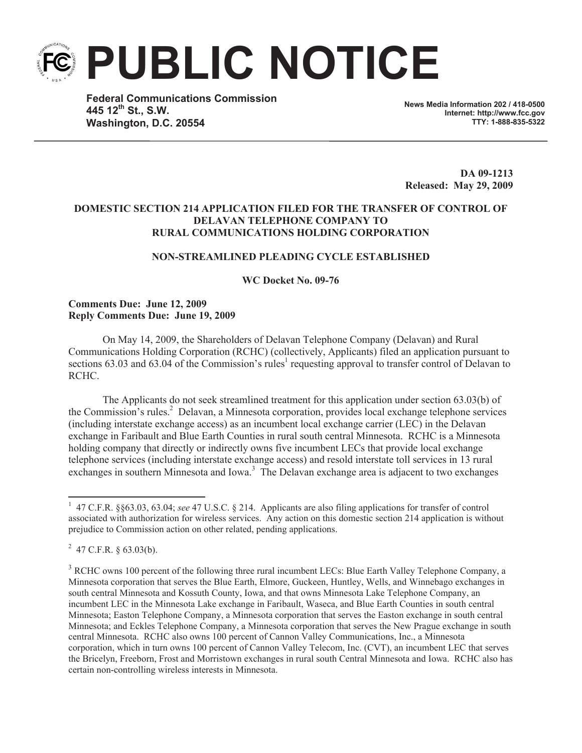**PUBLIC NOTICE**

**Federal Communications Commission 445 12th St., S.W. Washington, D.C. 20554**

**News Media Information 202 / 418-0500 Internet: http://www.fcc.gov TTY: 1-888-835-5322**

**DA 09-1213 Released: May 29, 2009**

# **DOMESTIC SECTION 214 APPLICATION FILED FOR THE TRANSFER OF CONTROL OF DELAVAN TELEPHONE COMPANY TO RURAL COMMUNICATIONS HOLDING CORPORATION**

## **NON-STREAMLINED PLEADING CYCLE ESTABLISHED**

**WC Docket No. 09-76**

### **Comments Due: June 12, 2009 Reply Comments Due: June 19, 2009**

On May 14, 2009, the Shareholders of Delavan Telephone Company (Delavan) and Rural Communications Holding Corporation (RCHC) (collectively, Applicants) filed an application pursuant to sections  $63.03$  and  $63.04$  of the Commission's rules<sup>1</sup> requesting approval to transfer control of Delavan to RCHC.

The Applicants do not seek streamlined treatment for this application under section 63.03(b) of the Commission's rules.<sup>2</sup> Delavan, a Minnesota corporation, provides local exchange telephone services (including interstate exchange access) as an incumbent local exchange carrier (LEC) in the Delavan exchange in Faribault and Blue Earth Counties in rural south central Minnesota. RCHC is a Minnesota holding company that directly or indirectly owns five incumbent LECs that provide local exchange telephone services (including interstate exchange access) and resold interstate toll services in 13 rural exchanges in southern Minnesota and Iowa.<sup>3</sup> The Delavan exchange area is adjacent to two exchanges

<sup>&</sup>lt;sup>1</sup> 47 C.F.R. §§63.03, 63.04; *see* 47 U.S.C. § 214. Applicants are also filing applications for transfer of control associated with authorization for wireless services. Any action on this domestic section 214 application is without prejudice to Commission action on other related, pending applications.

 $^{2}$  47 C.F.R. § 63.03(b).

<sup>&</sup>lt;sup>3</sup> RCHC owns 100 percent of the following three rural incumbent LECs: Blue Earth Valley Telephone Company, a Minnesota corporation that serves the Blue Earth, Elmore, Guckeen, Huntley, Wells, and Winnebago exchanges in south central Minnesota and Kossuth County, Iowa, and that owns Minnesota Lake Telephone Company, an incumbent LEC in the Minnesota Lake exchange in Faribault, Waseca, and Blue Earth Counties in south central Minnesota; Easton Telephone Company, a Minnesota corporation that serves the Easton exchange in south central Minnesota; and Eckles Telephone Company, a Minnesota corporation that serves the New Prague exchange in south central Minnesota. RCHC also owns 100 percent of Cannon Valley Communications, Inc., a Minnesota corporation, which in turn owns 100 percent of Cannon Valley Telecom, Inc. (CVT), an incumbent LEC that serves the Bricelyn, Freeborn, Frost and Morristown exchanges in rural south Central Minnesota and Iowa. RCHC also has certain non-controlling wireless interests in Minnesota.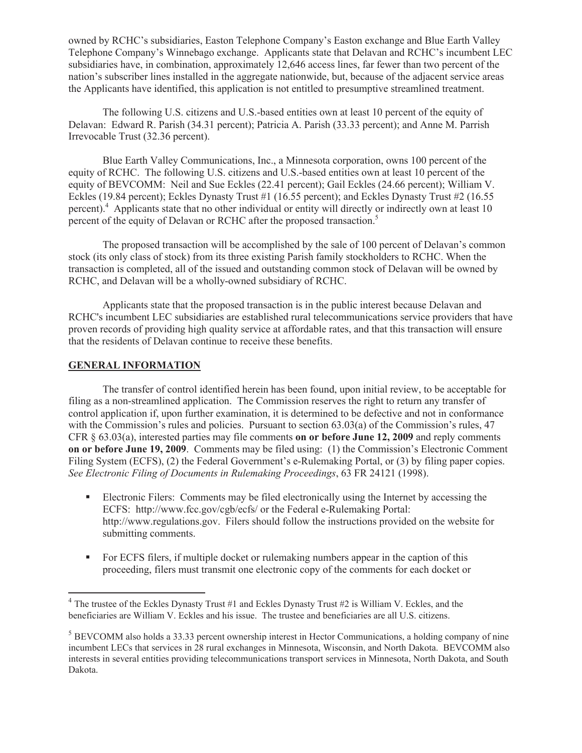owned by RCHC's subsidiaries, Easton Telephone Company's Easton exchange and Blue Earth Valley Telephone Company's Winnebago exchange. Applicants state that Delavan and RCHC's incumbent LEC subsidiaries have, in combination, approximately 12,646 access lines, far fewer than two percent of the nation's subscriber lines installed in the aggregate nationwide, but, because of the adjacent service areas the Applicants have identified, this application is not entitled to presumptive streamlined treatment.

The following U.S. citizens and U.S.-based entities own at least 10 percent of the equity of Delavan: Edward R. Parish (34.31 percent); Patricia A. Parish (33.33 percent); and Anne M. Parrish Irrevocable Trust (32.36 percent).

Blue Earth Valley Communications, Inc., a Minnesota corporation, owns 100 percent of the equity of RCHC. The following U.S. citizens and U.S.-based entities own at least 10 percent of the equity of BEVCOMM: Neil and Sue Eckles (22.41 percent); Gail Eckles (24.66 percent); William V. Eckles (19.84 percent); Eckles Dynasty Trust #1 (16.55 percent); and Eckles Dynasty Trust #2 (16.55 percent).<sup>4</sup> Applicants state that no other individual or entity will directly or indirectly own at least 10 percent of the equity of Delavan or RCHC after the proposed transaction.<sup>5</sup>

The proposed transaction will be accomplished by the sale of 100 percent of Delavan's common stock (its only class of stock) from its three existing Parish family stockholders to RCHC. When the transaction is completed, all of the issued and outstanding common stock of Delavan will be owned by RCHC, and Delavan will be a wholly-owned subsidiary of RCHC.

Applicants state that the proposed transaction is in the public interest because Delavan and RCHC's incumbent LEC subsidiaries are established rural telecommunications service providers that have proven records of providing high quality service at affordable rates, and that this transaction will ensure that the residents of Delavan continue to receive these benefits.

## **GENERAL INFORMATION**

The transfer of control identified herein has been found, upon initial review, to be acceptable for filing as a non-streamlined application. The Commission reserves the right to return any transfer of control application if, upon further examination, it is determined to be defective and not in conformance with the Commission's rules and policies. Pursuant to section 63.03(a) of the Commission's rules, 47 CFR § 63.03(a), interested parties may file comments **on or before June 12, 2009** and reply comments **on or before June 19, 2009**. Comments may be filed using: (1) the Commission's Electronic Comment Filing System (ECFS), (2) the Federal Government's e-Rulemaking Portal, or (3) by filing paper copies. *See Electronic Filing of Documents in Rulemaking Proceedings*, 63 FR 24121 (1998).

- Electronic Filers: Comments may be filed electronically using the Internet by accessing the ECFS: http://www.fcc.gov/cgb/ecfs/ or the Federal e-Rulemaking Portal: http://www.regulations.gov. Filers should follow the instructions provided on the website for submitting comments.
- For ECFS filers, if multiple docket or rulemaking numbers appear in the caption of this proceeding, filers must transmit one electronic copy of the comments for each docket or

 $4$  The trustee of the Eckles Dynasty Trust #1 and Eckles Dynasty Trust #2 is William V. Eckles, and the beneficiaries are William V. Eckles and his issue. The trustee and beneficiaries are all U.S. citizens.

 $<sup>5</sup>$  BEVCOMM also holds a 33.33 percent ownership interest in Hector Communications, a holding company of nine</sup> incumbent LECs that services in 28 rural exchanges in Minnesota, Wisconsin, and North Dakota. BEVCOMM also interests in several entities providing telecommunications transport services in Minnesota, North Dakota, and South Dakota.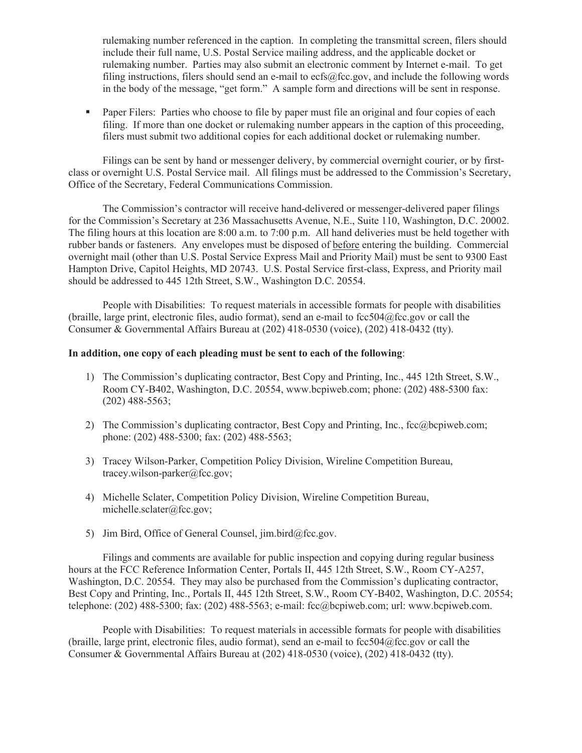rulemaking number referenced in the caption. In completing the transmittal screen, filers should include their full name, U.S. Postal Service mailing address, and the applicable docket or rulemaking number. Parties may also submit an electronic comment by Internet e-mail. To get filing instructions, filers should send an e-mail to ecfs@fcc.gov, and include the following words in the body of the message, "get form." A sample form and directions will be sent in response.

• Paper Filers: Parties who choose to file by paper must file an original and four copies of each filing. If more than one docket or rulemaking number appears in the caption of this proceeding, filers must submit two additional copies for each additional docket or rulemaking number.

Filings can be sent by hand or messenger delivery, by commercial overnight courier, or by firstclass or overnight U.S. Postal Service mail. All filings must be addressed to the Commission's Secretary, Office of the Secretary, Federal Communications Commission.

The Commission's contractor will receive hand-delivered or messenger-delivered paper filings for the Commission's Secretary at 236 Massachusetts Avenue, N.E., Suite 110, Washington, D.C. 20002. The filing hours at this location are 8:00 a.m. to 7:00 p.m. All hand deliveries must be held together with rubber bands or fasteners. Any envelopes must be disposed of before entering the building. Commercial overnight mail (other than U.S. Postal Service Express Mail and Priority Mail) must be sent to 9300 East Hampton Drive, Capitol Heights, MD 20743. U.S. Postal Service first-class, Express, and Priority mail should be addressed to 445 12th Street, S.W., Washington D.C. 20554.

People with Disabilities: To request materials in accessible formats for people with disabilities (braille, large print, electronic files, audio format), send an e-mail to  $fcc504@$ fcc.gov or call the Consumer & Governmental Affairs Bureau at (202) 418-0530 (voice), (202) 418-0432 (tty).

### **In addition, one copy of each pleading must be sent to each of the following**:

- 1) The Commission's duplicating contractor, Best Copy and Printing, Inc., 445 12th Street, S.W., Room CY-B402, Washington, D.C. 20554, www.bcpiweb.com; phone: (202) 488-5300 fax: (202) 488-5563;
- 2) The Commission's duplicating contractor, Best Copy and Printing, Inc., fcc@bcpiweb.com; phone: (202) 488-5300; fax: (202) 488-5563;
- 3) Tracey Wilson-Parker, Competition Policy Division, Wireline Competition Bureau, tracey.wilson-parker@fcc.gov;
- 4) Michelle Sclater, Competition Policy Division, Wireline Competition Bureau, michelle.sclater@fcc.gov;
- 5) Jim Bird, Office of General Counsel, jim.bird@fcc.gov.

Filings and comments are available for public inspection and copying during regular business hours at the FCC Reference Information Center, Portals II, 445 12th Street, S.W., Room CY-A257, Washington, D.C. 20554. They may also be purchased from the Commission's duplicating contractor, Best Copy and Printing, Inc., Portals II, 445 12th Street, S.W., Room CY-B402, Washington, D.C. 20554; telephone: (202) 488-5300; fax: (202) 488-5563; e-mail: fcc@bcpiweb.com; url: www.bcpiweb.com.

People with Disabilities: To request materials in accessible formats for people with disabilities (braille, large print, electronic files, audio format), send an e-mail to fcc504@fcc.gov or call the Consumer & Governmental Affairs Bureau at (202) 418-0530 (voice), (202) 418-0432 (tty).